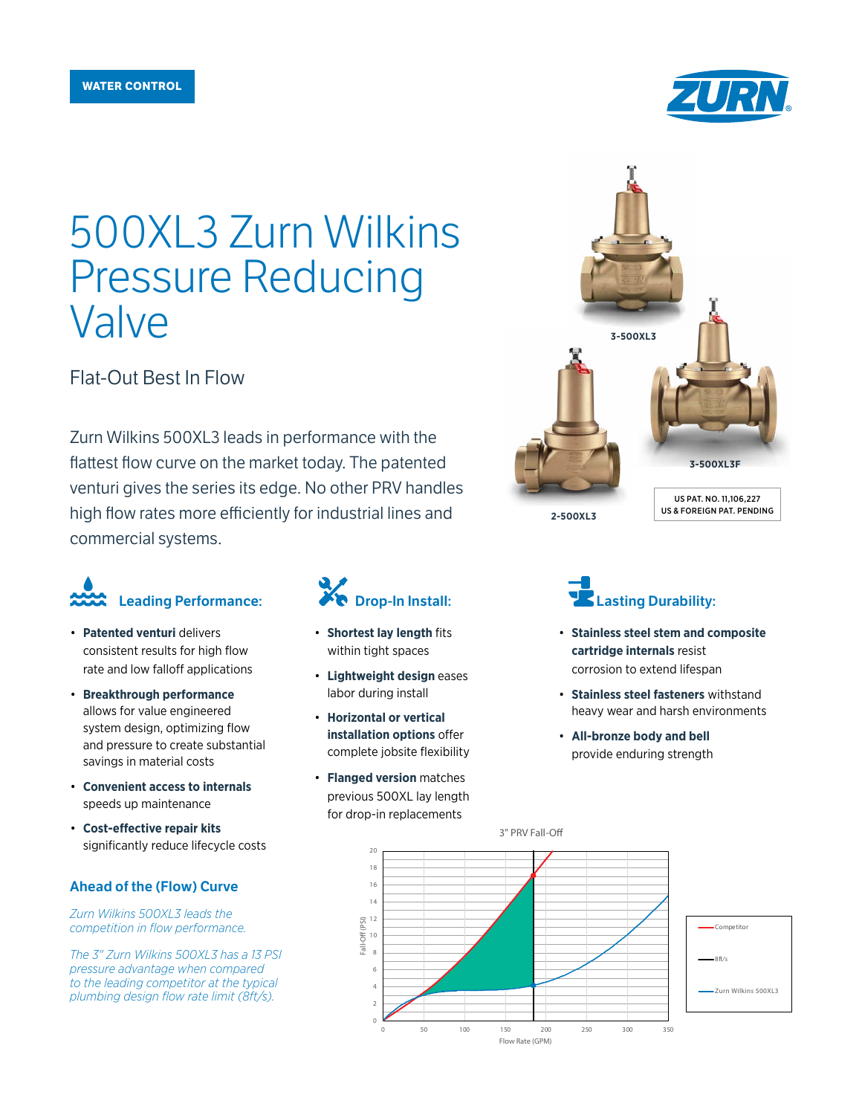

# 500XL3 Zurn Wilkins Pressure Reducing Valve

Flat-Out Best In Flow

Zurn Wilkins 500XL3 leads in performance with the flattest flow curve on the market today. The patented venturi gives the series its edge. No other PRV handles high flow rates more efficiently for industrial lines and commercial systems.

# Leading Performance:

- **Patented venturi** delivers consistent results for high flow rate and low falloff applications
- **Breakthrough performance** allows for value engineered system design, optimizing flow and pressure to create substantial savings in material costs
- **Convenient access to internals**  speeds up maintenance
- **Cost-effective repair kits**  significantly reduce lifecycle costs

#### Ahead of the (Flow) Curve

*Zurn Wilkins 500XL3 leads the competition in flow performance.*

*The 3" Zurn Wilkins 500XL3 has a 13 PSI pressure advantage when compared to the leading competitor at the typical plumbing design flow rate limit (8ft/s).*

## **Drop-In Install:**

- **Shortest lay length** fits within tight spaces
- **Lightweight design** eases labor during install
- **Horizontal or vertical installation options** offer complete jobsite flexibility
- **Flanged version** matches previous 500XL lay length for drop-in replacements

Fall-Off (PSI)

 $Fall-($ 



### Lasting Durability:

- **Stainless steel stem and composite cartridge internals** resist corrosion to extend lifespan
- **Stainless steel fasteners** withstand heavy wear and harsh environments
- **All-bronze body and bell**  provide enduring strength



3" PRV Fall-O

0 50 100 150 200 250 300 350

Flow Rate (GPM)